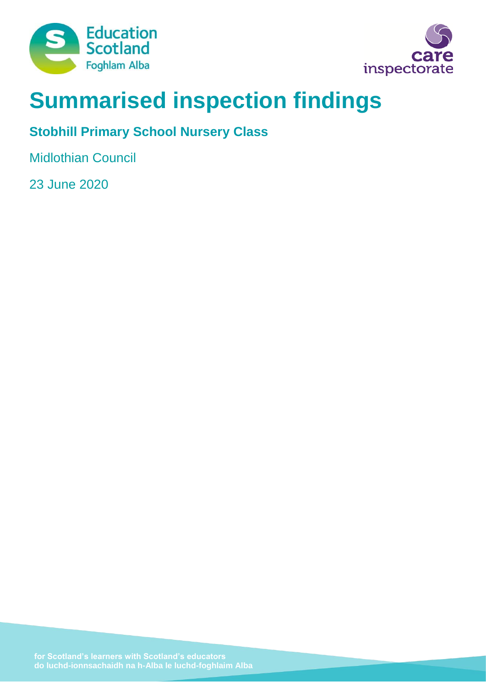



# **Summarised inspection findings**

# **Stobhill Primary School Nursery Class**

Midlothian Council

23 June 2020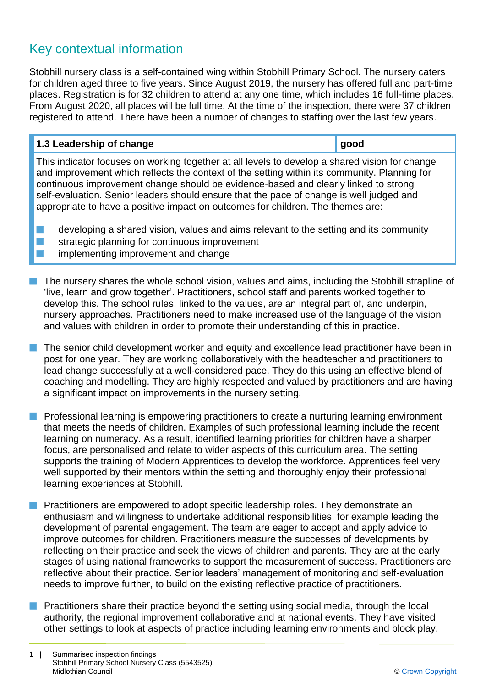# Key contextual information

Stobhill nursery class is a self-contained wing within Stobhill Primary School. The nursery caters for children aged three to five years. Since August 2019, the nursery has offered full and part-time places. Registration is for 32 children to attend at any one time, which includes 16 full-time places. From August 2020, all places will be full time. At the time of the inspection, there were 37 children registered to attend. There have been a number of changes to staffing over the last few years.

| 1.3 Leadership of change                                                                       | good |
|------------------------------------------------------------------------------------------------|------|
| This indicator focuses on working together at all levels to develop a shared vision for change |      |
| and improvement which reflects the context of the setting within its community. Planning for   |      |
| continuous improvement change should be ovidence-based and clearly linked to strong            |      |

continuous improvement change should be evidence-based and clearly linked to strong self-evaluation. Senior leaders should ensure that the pace of change is well judged and appropriate to have a positive impact on outcomes for children. The themes are:

developing a shared vision, values and aims relevant to the setting and its community  $\blacksquare$  strategic planning for continuous improvement implementing improvement and change

- $\blacksquare$  The nursery shares the whole school vision, values and aims, including the Stobhill strapline of 'live, learn and grow together'. Practitioners, school staff and parents worked together to develop this. The school rules, linked to the values, are an integral part of, and underpin, nursery approaches. Practitioners need to make increased use of the language of the vision and values with children in order to promote their understanding of this in practice.
- The senior child development worker and equity and excellence lead practitioner have been in post for one year. They are working collaboratively with the headteacher and practitioners to lead change successfully at a well-considered pace. They do this using an effective blend of coaching and modelling. They are highly respected and valued by practitioners and are having a significant impact on improvements in the nursery setting.
- **n** Professional learning is empowering practitioners to create a nurturing learning environment that meets the needs of children. Examples of such professional learning include the recent learning on numeracy. As a result, identified learning priorities for children have a sharper focus, are personalised and relate to wider aspects of this curriculum area. The setting supports the training of Modern Apprentices to develop the workforce. Apprentices feel very well supported by their mentors within the setting and thoroughly enjoy their professional learning experiences at Stobhill.
- **n** Practitioners are empowered to adopt specific leadership roles. They demonstrate an enthusiasm and willingness to undertake additional responsibilities, for example leading the development of parental engagement. The team are eager to accept and apply advice to improve outcomes for children. Practitioners measure the successes of developments by reflecting on their practice and seek the views of children and parents. They are at the early stages of using national frameworks to support the measurement of success. Practitioners are reflective about their practice. Senior leaders' management of monitoring and self-evaluation needs to improve further, to build on the existing reflective practice of practitioners.
- Practitioners share their practice beyond the setting using social media, through the local authority, the regional improvement collaborative and at national events. They have visited other settings to look at aspects of practice including learning environments and block play.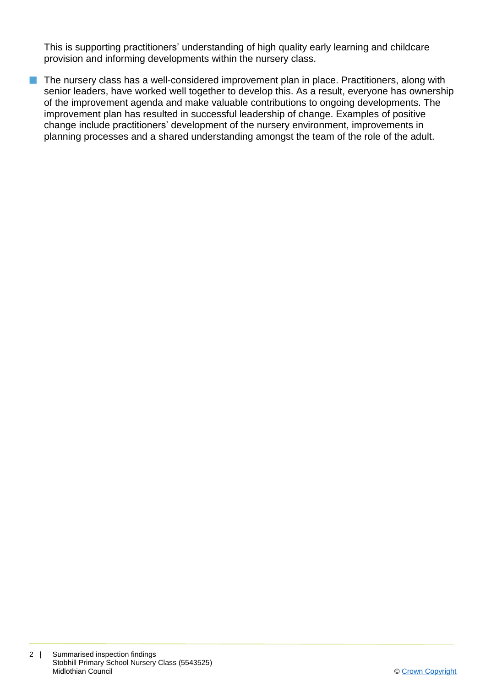This is supporting practitioners' understanding of high quality early learning and childcare provision and informing developments within the nursery class.

 $\blacksquare$  The nursery class has a well-considered improvement plan in place. Practitioners, along with senior leaders, have worked well together to develop this. As a result, everyone has ownership of the improvement agenda and make valuable contributions to ongoing developments. The improvement plan has resulted in successful leadership of change. Examples of positive change include practitioners' development of the nursery environment, improvements in planning processes and a shared understanding amongst the team of the role of the adult.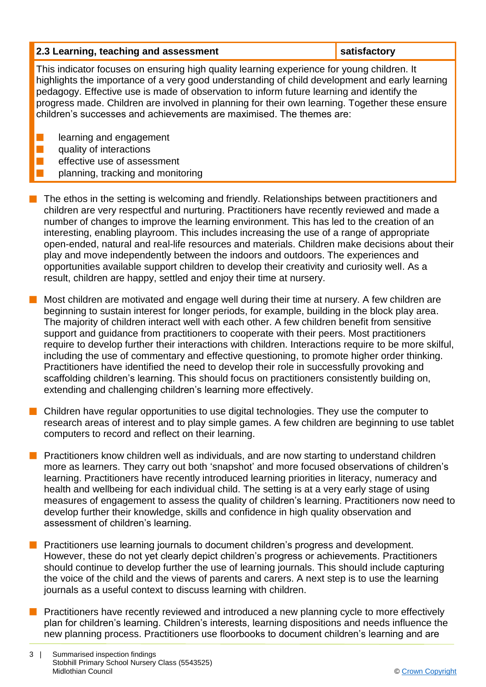#### **2.3 Learning, teaching and assessment satisfactory**

This indicator focuses on ensuring high quality learning experience for young children. It highlights the importance of a very good understanding of child development and early learning pedagogy. Effective use is made of observation to inform future learning and identify the progress made. Children are involved in planning for their own learning. Together these ensure children's successes and achievements are maximised. The themes are:

learning and engagement

- quality of interactions
- effective use of assessment
	- planning, tracking and monitoring
- $\blacksquare$  The ethos in the setting is welcoming and friendly. Relationships between practitioners and children are very respectful and nurturing. Practitioners have recently reviewed and made a number of changes to improve the learning environment. This has led to the creation of an interesting, enabling playroom. This includes increasing the use of a range of appropriate open-ended, natural and real-life resources and materials. Children make decisions about their play and move independently between the indoors and outdoors. The experiences and opportunities available support children to develop their creativity and curiosity well. As a result, children are happy, settled and enjoy their time at nursery.
- $\blacksquare$  Most children are motivated and engage well during their time at nursery. A few children are beginning to sustain interest for longer periods, for example, building in the block play area. The majority of children interact well with each other. A few children benefit from sensitive support and guidance from practitioners to cooperate with their peers. Most practitioners require to develop further their interactions with children. Interactions require to be more skilful, including the use of commentary and effective questioning, to promote higher order thinking. Practitioners have identified the need to develop their role in successfully provoking and scaffolding children's learning. This should focus on practitioners consistently building on, extending and challenging children's learning more effectively.
- $\blacksquare$  Children have regular opportunities to use digital technologies. They use the computer to research areas of interest and to play simple games. A few children are beginning to use tablet computers to record and reflect on their learning.
- **n** Practitioners know children well as individuals, and are now starting to understand children more as learners. They carry out both 'snapshot' and more focused observations of children's learning. Practitioners have recently introduced learning priorities in literacy, numeracy and health and wellbeing for each individual child. The setting is at a very early stage of using measures of engagement to assess the quality of children's learning. Practitioners now need to develop further their knowledge, skills and confidence in high quality observation and assessment of children's learning.
- Practitioners use learning journals to document children's progress and development. However, these do not yet clearly depict children's progress or achievements. Practitioners should continue to develop further the use of learning journals. This should include capturing the voice of the child and the views of parents and carers. A next step is to use the learning journals as a useful context to discuss learning with children.
- Practitioners have recently reviewed and introduced a new planning cycle to more effectively plan for children's learning. Children's interests, learning dispositions and needs influence the new planning process. Practitioners use floorbooks to document children's learning and are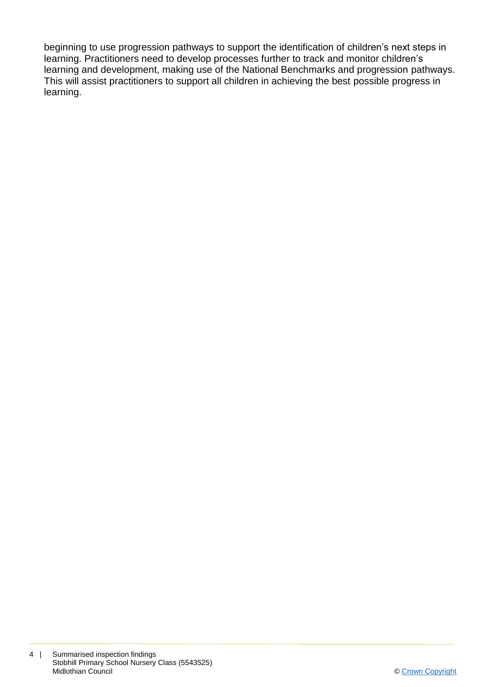beginning to use progression pathways to support the identification of children's next steps in learning. Practitioners need to develop processes further to track and monitor children's learning and development, making use of the National Benchmarks and progression pathways. This will assist practitioners to support all children in achieving the best possible progress in learning.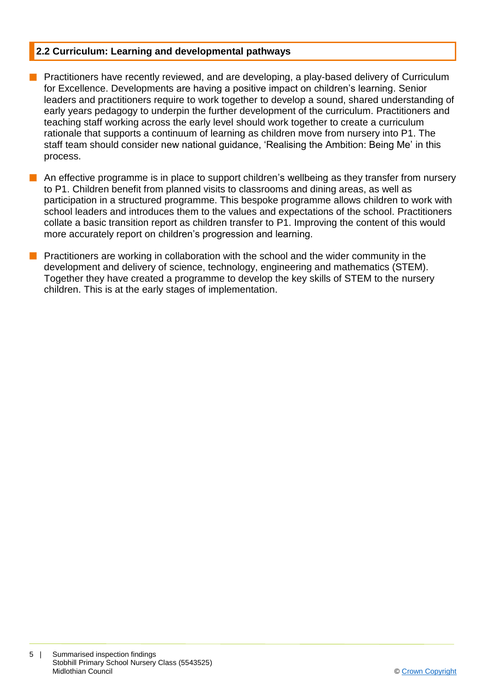### **2.2 Curriculum: Learning and developmental pathways**

- **Peractitioners have recently reviewed, and are developing, a play-based delivery of Curriculum** for Excellence. Developments are having a positive impact on children's learning. Senior leaders and practitioners require to work together to develop a sound, shared understanding of early years pedagogy to underpin the further development of the curriculum. Practitioners and teaching staff working across the early level should work together to create a curriculum rationale that supports a continuum of learning as children move from nursery into P1. The staff team should consider new national guidance, 'Realising the Ambition: Being Me' in this process.
- $\blacksquare$  An effective programme is in place to support children's wellbeing as they transfer from nursery to P1. Children benefit from planned visits to classrooms and dining areas, as well as participation in a structured programme. This bespoke programme allows children to work with school leaders and introduces them to the values and expectations of the school. Practitioners collate a basic transition report as children transfer to P1. Improving the content of this would more accurately report on children's progression and learning.
- Practitioners are working in collaboration with the school and the wider community in the development and delivery of science, technology, engineering and mathematics (STEM). Together they have created a programme to develop the key skills of STEM to the nursery children. This is at the early stages of implementation.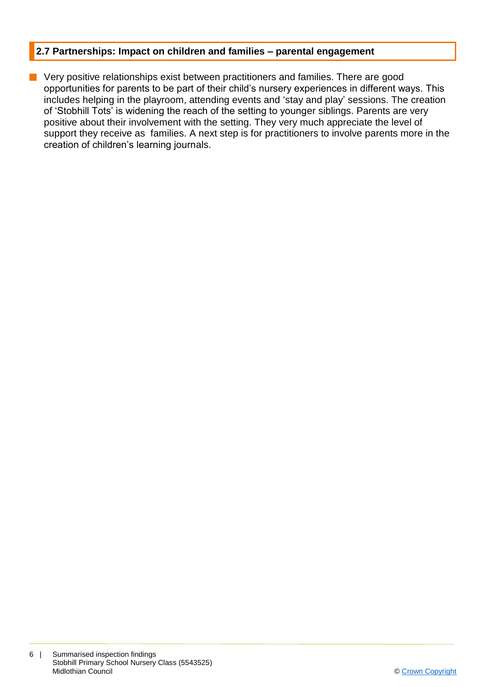#### **2.7 Partnerships: Impact on children and families – parental engagement**

 $\blacksquare$  Very positive relationships exist between practitioners and families. There are good opportunities for parents to be part of their child's nursery experiences in different ways. This includes helping in the playroom, attending events and 'stay and play' sessions. The creation of 'Stobhill Tots' is widening the reach of the setting to younger siblings. Parents are very positive about their involvement with the setting. They very much appreciate the level of support they receive as families. A next step is for practitioners to involve parents more in the creation of children's learning journals.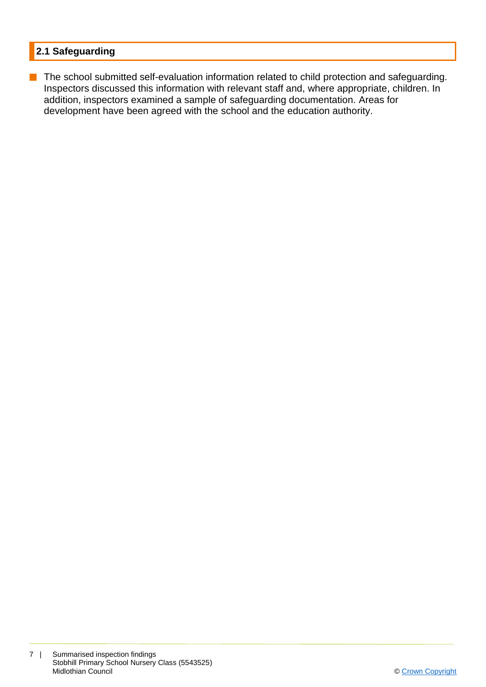# **2.1 Safeguarding**

**n** The school submitted self-evaluation information related to child protection and safeguarding. Inspectors discussed this information with relevant staff and, where appropriate, children. In addition, inspectors examined a sample of safeguarding documentation. Areas for development have been agreed with the school and the education authority.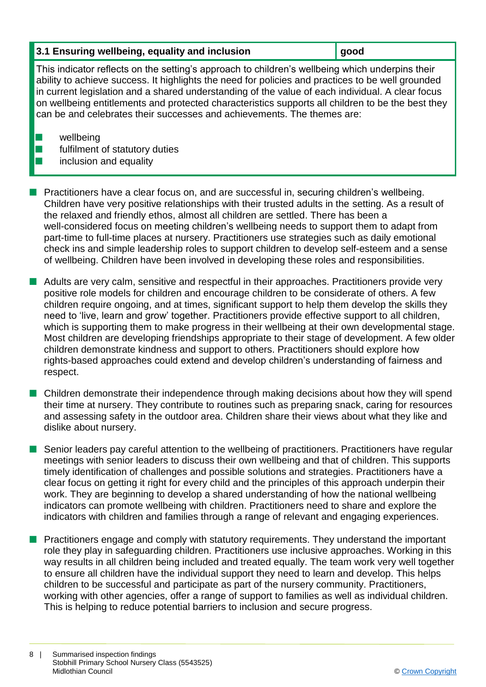## **3.1 Ensuring wellbeing, equality and inclusion gives good**

This indicator reflects on the setting's approach to children's wellbeing which underpins their ability to achieve success. It highlights the need for policies and practices to be well grounded in current legislation and a shared understanding of the value of each individual. A clear focus on wellbeing entitlements and protected characteristics supports all children to be the best they can be and celebrates their successes and achievements. The themes are:

 $\blacksquare$  wellbeing

 $\blacksquare$  fulfilment of statutory duties

# inclusion and equality

n Practitioners have a clear focus on, and are successful in, securing children's wellbeing. Children have very positive relationships with their trusted adults in the setting. As a result of the relaxed and friendly ethos, almost all children are settled. There has been a well-considered focus on meeting children's wellbeing needs to support them to adapt from part-time to full-time places at nursery. Practitioners use strategies such as daily emotional check ins and simple leadership roles to support children to develop self-esteem and a sense of wellbeing. Children have been involved in developing these roles and responsibilities.

**n** Adults are very calm, sensitive and respectful in their approaches. Practitioners provide very positive role models for children and encourage children to be considerate of others. A few children require ongoing, and at times, significant support to help them develop the skills they need to 'live, learn and grow' together. Practitioners provide effective support to all children, which is supporting them to make progress in their wellbeing at their own developmental stage. Most children are developing friendships appropriate to their stage of development. A few older children demonstrate kindness and support to others. Practitioners should explore how rights-based approaches could extend and develop children's understanding of fairness and respect.

**n** Children demonstrate their independence through making decisions about how they will spend their time at nursery. They contribute to routines such as preparing snack, caring for resources and assessing safety in the outdoor area. Children share their views about what they like and dislike about nursery.

Senior leaders pay careful attention to the wellbeing of practitioners. Practitioners have regular meetings with senior leaders to discuss their own wellbeing and that of children. This supports timely identification of challenges and possible solutions and strategies. Practitioners have a clear focus on getting it right for every child and the principles of this approach underpin their work. They are beginning to develop a shared understanding of how the national wellbeing indicators can promote wellbeing with children. Practitioners need to share and explore the indicators with children and families through a range of relevant and engaging experiences.

**n** Practitioners engage and comply with statutory requirements. They understand the important role they play in safeguarding children. Practitioners use inclusive approaches. Working in this way results in all children being included and treated equally. The team work very well together to ensure all children have the individual support they need to learn and develop. This helps children to be successful and participate as part of the nursery community. Practitioners, working with other agencies, offer a range of support to families as well as individual children. This is helping to reduce potential barriers to inclusion and secure progress.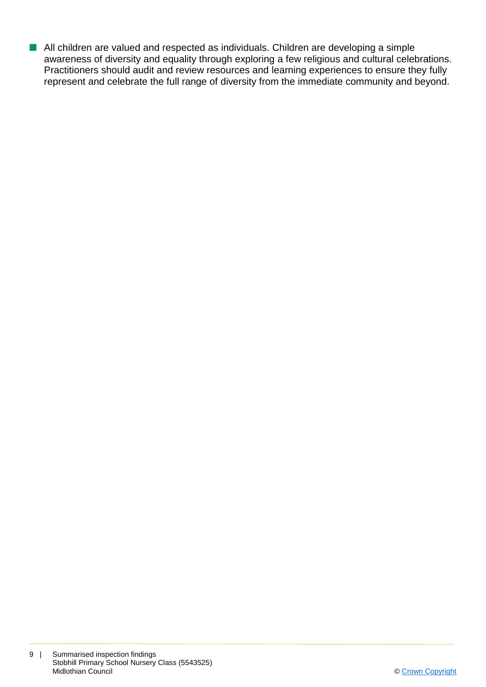■ All children are valued and respected as individuals. Children are developing a simple awareness of diversity and equality through exploring a few religious and cultural celebrations. Practitioners should audit and review resources and learning experiences to ensure they fully represent and celebrate the full range of diversity from the immediate community and beyond.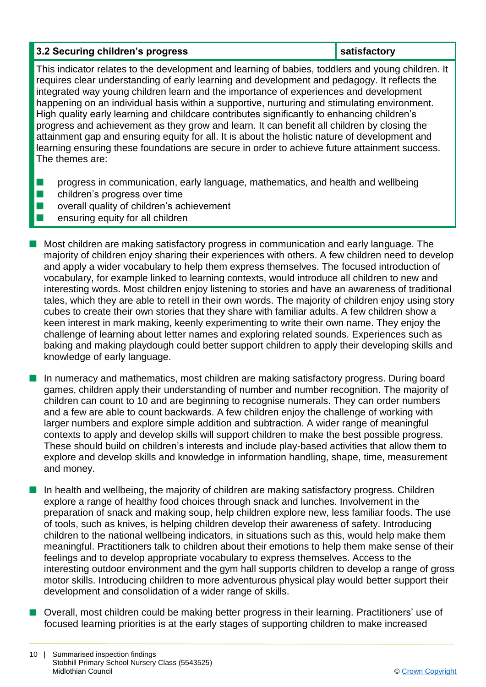## **3.2 Securing children's progress in the satisfactory in the satisfactory**

This indicator relates to the development and learning of babies, toddlers and young children. It requires clear understanding of early learning and development and pedagogy. It reflects the integrated way young children learn and the importance of experiences and development happening on an individual basis within a supportive, nurturing and stimulating environment. High quality early learning and childcare contributes significantly to enhancing children's progress and achievement as they grow and learn. It can benefit all children by closing the attainment gap and ensuring equity for all. It is about the holistic nature of development and learning ensuring these foundations are secure in order to achieve future attainment success. The themes are:

- **n** progress in communication, early language, mathematics, and health and wellbeing
- $\blacksquare$  children's progress over time
- $\blacksquare$  overall quality of children's achievement
- $\blacksquare$  ensuring equity for all children
- **n** Most children are making satisfactory progress in communication and early language. The majority of children enjoy sharing their experiences with others. A few children need to develop and apply a wider vocabulary to help them express themselves. The focused introduction of vocabulary, for example linked to learning contexts, would introduce all children to new and interesting words. Most children enjoy listening to stories and have an awareness of traditional tales, which they are able to retell in their own words. The majority of children enjoy using story cubes to create their own stories that they share with familiar adults. A few children show a keen interest in mark making, keenly experimenting to write their own name. They enjoy the challenge of learning about letter names and exploring related sounds. Experiences such as baking and making playdough could better support children to apply their developing skills and knowledge of early language.
- **n** In numeracy and mathematics, most children are making satisfactory progress. During board games, children apply their understanding of number and number recognition. The majority of children can count to 10 and are beginning to recognise numerals. They can order numbers and a few are able to count backwards. A few children enjoy the challenge of working with larger numbers and explore simple addition and subtraction. A wider range of meaningful contexts to apply and develop skills will support children to make the best possible progress. These should build on children's interests and include play-based activities that allow them to explore and develop skills and knowledge in information handling, shape, time, measurement and money.
	- n In health and wellbeing, the majority of children are making satisfactory progress. Children explore a range of healthy food choices through snack and lunches. Involvement in the preparation of snack and making soup, help children explore new, less familiar foods. The use of tools, such as knives, is helping children develop their awareness of safety. Introducing children to the national wellbeing indicators, in situations such as this, would help make them meaningful. Practitioners talk to children about their emotions to help them make sense of their feelings and to develop appropriate vocabulary to express themselves. Access to the interesting outdoor environment and the gym hall supports children to develop a range of gross motor skills. Introducing children to more adventurous physical play would better support their development and consolidation of a wider range of skills.
- Overall, most children could be making better progress in their learning. Practitioners' use of focused learning priorities is at the early stages of supporting children to make increased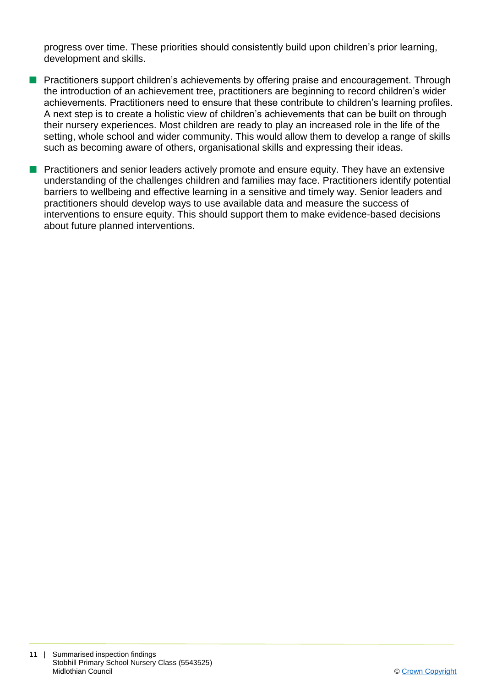progress over time. These priorities should consistently build upon children's prior learning, development and skills.

- **n** Practitioners support children's achievements by offering praise and encouragement. Through the introduction of an achievement tree, practitioners are beginning to record children's wider achievements. Practitioners need to ensure that these contribute to children's learning profiles. A next step is to create a holistic view of children's achievements that can be built on through their nursery experiences. Most children are ready to play an increased role in the life of the setting, whole school and wider community. This would allow them to develop a range of skills such as becoming aware of others, organisational skills and expressing their ideas.
- **n** Practitioners and senior leaders actively promote and ensure equity. They have an extensive understanding of the challenges children and families may face. Practitioners identify potential barriers to wellbeing and effective learning in a sensitive and timely way. Senior leaders and practitioners should develop ways to use available data and measure the success of interventions to ensure equity. This should support them to make evidence-based decisions about future planned interventions.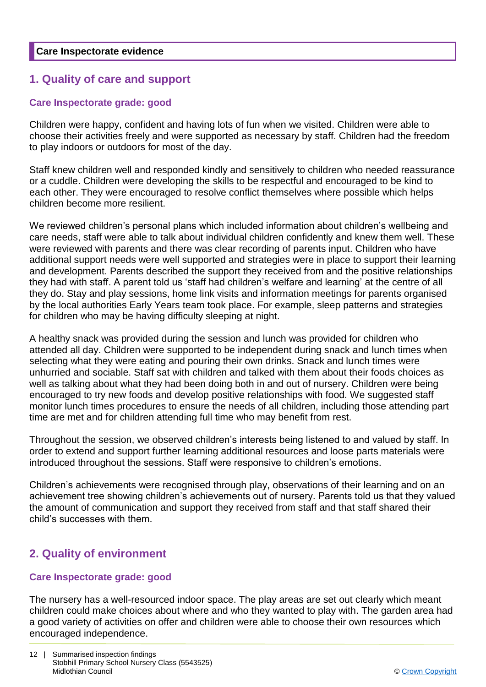# **1. Quality of care and support**

## **Care Inspectorate grade: good**

Children were happy, confident and having lots of fun when we visited. Children were able to choose their activities freely and were supported as necessary by staff. Children had the freedom to play indoors or outdoors for most of the day.

Staff knew children well and responded kindly and sensitively to children who needed reassurance or a cuddle. Children were developing the skills to be respectful and encouraged to be kind to each other. They were encouraged to resolve conflict themselves where possible which helps children become more resilient.

We reviewed children's personal plans which included information about children's wellbeing and care needs, staff were able to talk about individual children confidently and knew them well. These were reviewed with parents and there was clear recording of parents input. Children who have additional support needs were well supported and strategies were in place to support their learning and development. Parents described the support they received from and the positive relationships they had with staff. A parent told us 'staff had children's welfare and learning' at the centre of all they do. Stay and play sessions, home link visits and information meetings for parents organised by the local authorities Early Years team took place. For example, sleep patterns and strategies for children who may be having difficulty sleeping at night.

A healthy snack was provided during the session and lunch was provided for children who attended all day. Children were supported to be independent during snack and lunch times when selecting what they were eating and pouring their own drinks. Snack and lunch times were unhurried and sociable. Staff sat with children and talked with them about their foods choices as well as talking about what they had been doing both in and out of nursery. Children were being encouraged to try new foods and develop positive relationships with food. We suggested staff monitor lunch times procedures to ensure the needs of all children, including those attending part time are met and for children attending full time who may benefit from rest.

Throughout the session, we observed children's interests being listened to and valued by staff. In order to extend and support further learning additional resources and loose parts materials were introduced throughout the sessions. Staff were responsive to children's emotions.

Children's achievements were recognised through play, observations of their learning and on an achievement tree showing children's achievements out of nursery. Parents told us that they valued the amount of communication and support they received from staff and that staff shared their child's successes with them.

# **2. Quality of environment**

### **Care Inspectorate grade: good**

The nursery has a well-resourced indoor space. The play areas are set out clearly which meant children could make choices about where and who they wanted to play with. The garden area had a good variety of activities on offer and children were able to choose their own resources which encouraged independence.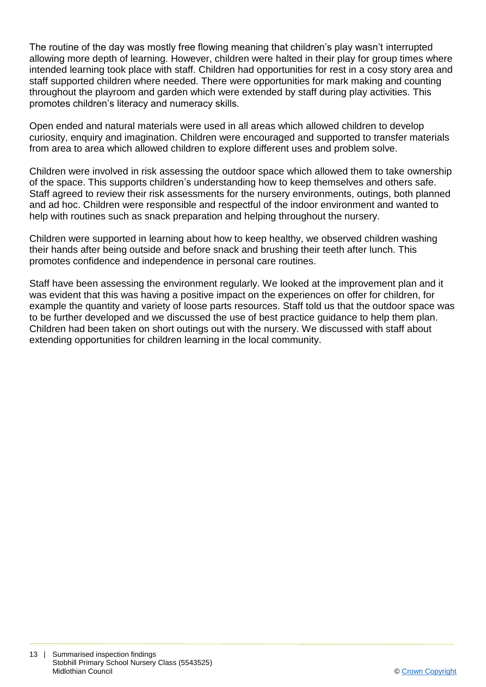The routine of the day was mostly free flowing meaning that children's play wasn't interrupted allowing more depth of learning. However, children were halted in their play for group times where intended learning took place with staff. Children had opportunities for rest in a cosy story area and staff supported children where needed. There were opportunities for mark making and counting throughout the playroom and garden which were extended by staff during play activities. This promotes children's literacy and numeracy skills.

Open ended and natural materials were used in all areas which allowed children to develop curiosity, enquiry and imagination. Children were encouraged and supported to transfer materials from area to area which allowed children to explore different uses and problem solve.

Children were involved in risk assessing the outdoor space which allowed them to take ownership of the space. This supports children's understanding how to keep themselves and others safe. Staff agreed to review their risk assessments for the nursery environments, outings, both planned and ad hoc. Children were responsible and respectful of the indoor environment and wanted to help with routines such as snack preparation and helping throughout the nursery.

Children were supported in learning about how to keep healthy, we observed children washing their hands after being outside and before snack and brushing their teeth after lunch. This promotes confidence and independence in personal care routines.

Staff have been assessing the environment regularly. We looked at the improvement plan and it was evident that this was having a positive impact on the experiences on offer for children, for example the quantity and variety of loose parts resources. Staff told us that the outdoor space was to be further developed and we discussed the use of best practice guidance to help them plan. Children had been taken on short outings out with the nursery. We discussed with staff about extending opportunities for children learning in the local community.